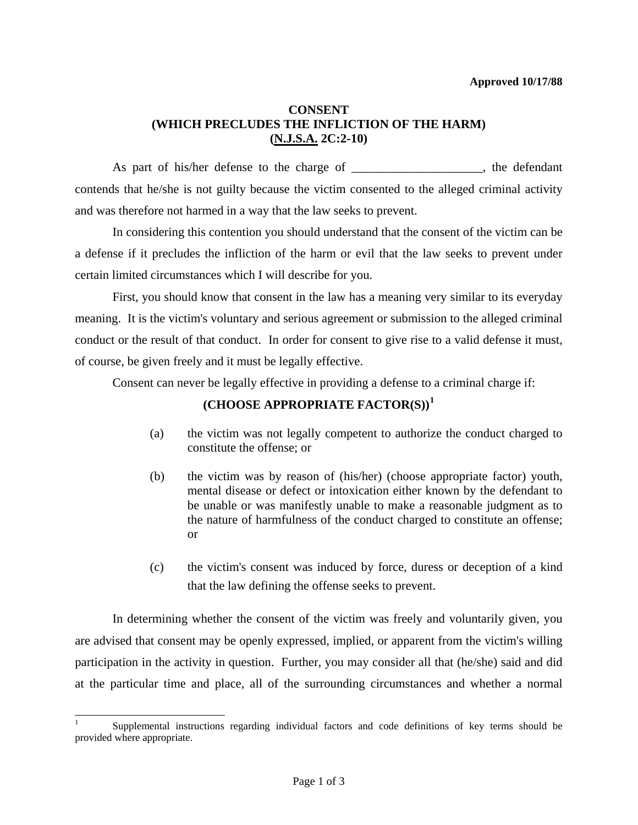# **CONSENT (WHICH PRECLUDES THE INFLICTION OF THE HARM) (N.J.S.A. 2C:2-10)**

As part of his/her defense to the charge of \_\_\_\_\_\_\_\_\_\_\_\_\_\_\_\_\_, the defendant contends that he/she is not guilty because the victim consented to the alleged criminal activity and was therefore not harmed in a way that the law seeks to prevent.

 In considering this contention you should understand that the consent of the victim can be a defense if it precludes the infliction of the harm or evil that the law seeks to prevent under certain limited circumstances which I will describe for you.

 First, you should know that consent in the law has a meaning very similar to its everyday meaning. It is the victim's voluntary and serious agreement or submission to the alleged criminal conduct or the result of that conduct. In order for consent to give rise to a valid defense it must, of course, be given freely and it must be legally effective.

Consent can never be legally effective in providing a defense to a criminal charge if:

# **(CHOOSE APPROPRIATE FACTOR(S))[1](#page-1-0)**

- (a) the victim was not legally competent to authorize the conduct charged to constitute the offense; or
- (b) the victim was by reason of (his/her) (choose appropriate factor) youth, mental disease or defect or intoxication either known by the defendant to be unable or was manifestly unable to make a reasonable judgment as to the nature of harmfulness of the conduct charged to constitute an offense; or
- (c) the victim's consent was induced by force, duress or deception of a kind that the law defining the offense seeks to prevent.

 In determining whether the consent of the victim was freely and voluntarily given, you are advised that consent may be openly expressed, implied, or apparent from the victim's willing participation in the activity in question. Further, you may consider all that (he/she) said and did at the particular time and place, all of the surrounding circumstances and whether a normal

l

<span id="page-0-0"></span><sup>1</sup> Supplemental instructions regarding individual factors and code definitions of key terms should be provided where appropriate.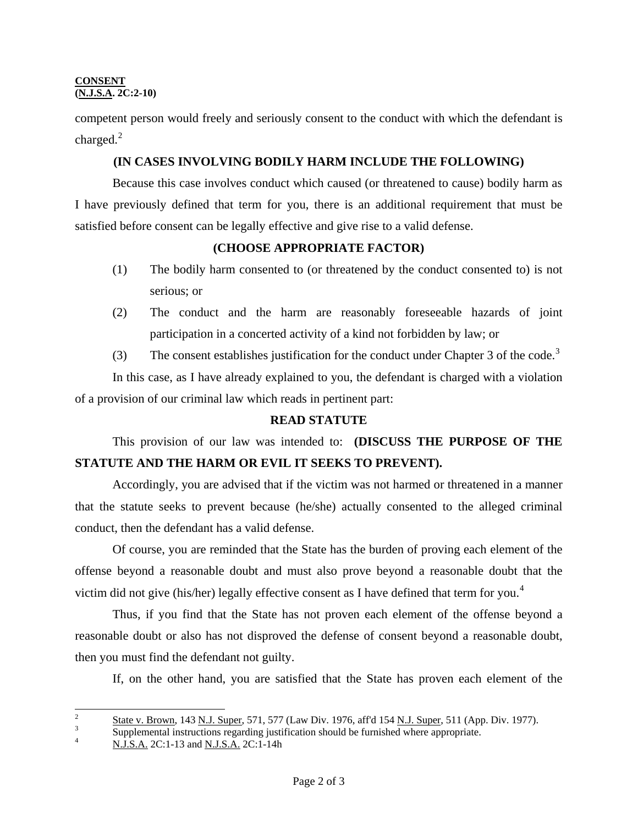#### **CONSENT (N.J.S.A. 2C:2-10)**

competent person would freely and seriously consent to the conduct with which the defendant is charged. $^{2}$  $^{2}$  $^{2}$ 

# **(IN CASES INVOLVING BODILY HARM INCLUDE THE FOLLOWING)**

 Because this case involves conduct which caused (or threatened to cause) bodily harm as I have previously defined that term for you, there is an additional requirement that must be satisfied before consent can be legally effective and give rise to a valid defense.

## **(CHOOSE APPROPRIATE FACTOR)**

- (1) The bodily harm consented to (or threatened by the conduct consented to) is not serious; or
- (2) The conduct and the harm are reasonably foreseeable hazards of joint participation in a concerted activity of a kind not forbidden by law; or
- ([3](#page-1-1)) The consent establishes justification for the conduct under Chapter 3 of the code.<sup>3</sup>

 In this case, as I have already explained to you, the defendant is charged with a violation of a provision of our criminal law which reads in pertinent part:

## **READ STATUTE**

This provision of our law was intended to: **(DISCUSS THE PURPOSE OF THE STATUTE AND THE HARM OR EVIL IT SEEKS TO PREVENT).**

 Accordingly, you are advised that if the victim was not harmed or threatened in a manner that the statute seeks to prevent because (he/she) actually consented to the alleged criminal conduct, then the defendant has a valid defense.

 Of course, you are reminded that the State has the burden of proving each element of the offense beyond a reasonable doubt and must also prove beyond a reasonable doubt that the victim did not give (his/her) legally effective consent as I have defined that term for you.<sup>[4](#page-1-2)</sup>

 Thus, if you find that the State has not proven each element of the offense beyond a reasonable doubt or also has not disproved the defense of consent beyond a reasonable doubt, then you must find the defendant not guilty.

If, on the other hand, you are satisfied that the State has proven each element of the

<span id="page-1-3"></span> $\mathcal{L}$  $\frac{2}{3}$  State v. Brown, 143 <u>N.J. Super,</u> 571, 577 (Law Div. 1976, aff'd 154 <u>N.J. Super,</u> 511 (App. Div. 1977).

<span id="page-1-1"></span><span id="page-1-0"></span>Supplemental instructions regarding justification should be furnished where appropriate.  $N.J.S.A.$  2C:1-13 and  $N.J.S.A.$  2C:1-14h

<span id="page-1-2"></span>